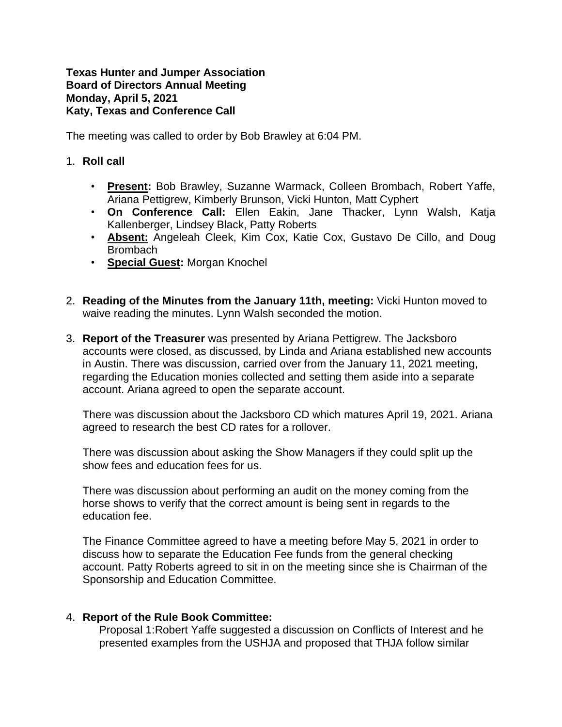## **Texas Hunter and Jumper Association Board of Directors Annual Meeting Monday, April 5, 2021 Katy, Texas and Conference Call**

The meeting was called to order by Bob Brawley at 6:04 PM.

- 1. **Roll call** 
	- **Present:** Bob Brawley, Suzanne Warmack, Colleen Brombach, Robert Yaffe, Ariana Pettigrew, Kimberly Brunson, Vicki Hunton, Matt Cyphert
	- **On Conference Call:** Ellen Eakin, Jane Thacker, Lynn Walsh, Katja Kallenberger, Lindsey Black, Patty Roberts
	- **Absent:** Angeleah Cleek, Kim Cox, Katie Cox, Gustavo De Cillo, and Doug Brombach
	- **Special Guest:** Morgan Knochel
- 2. **Reading of the Minutes from the January 11th, meeting:** Vicki Hunton moved to waive reading the minutes. Lynn Walsh seconded the motion.
- 3. **Report of the Treasurer** was presented by Ariana Pettigrew. The Jacksboro accounts were closed, as discussed, by Linda and Ariana established new accounts in Austin. There was discussion, carried over from the January 11, 2021 meeting, regarding the Education monies collected and setting them aside into a separate account. Ariana agreed to open the separate account.

There was discussion about the Jacksboro CD which matures April 19, 2021. Ariana agreed to research the best CD rates for a rollover.

There was discussion about asking the Show Managers if they could split up the show fees and education fees for us.

There was discussion about performing an audit on the money coming from the horse shows to verify that the correct amount is being sent in regards to the education fee.

The Finance Committee agreed to have a meeting before May 5, 2021 in order to discuss how to separate the Education Fee funds from the general checking account. Patty Roberts agreed to sit in on the meeting since she is Chairman of the Sponsorship and Education Committee.

## 4. **Report of the Rule Book Committee:**

Proposal 1:Robert Yaffe suggested a discussion on Conflicts of Interest and he presented examples from the USHJA and proposed that THJA follow similar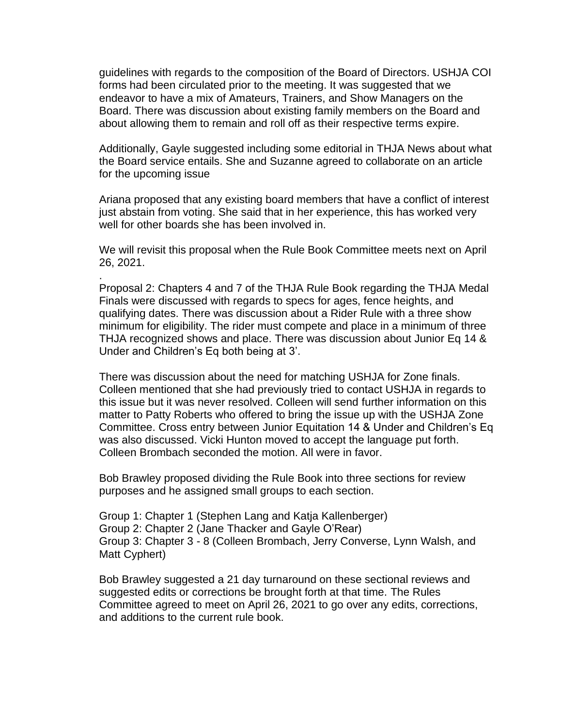guidelines with regards to the composition of the Board of Directors. USHJA COI forms had been circulated prior to the meeting. It was suggested that we endeavor to have a mix of Amateurs, Trainers, and Show Managers on the Board. There was discussion about existing family members on the Board and about allowing them to remain and roll off as their respective terms expire.

Additionally, Gayle suggested including some editorial in THJA News about what the Board service entails. She and Suzanne agreed to collaborate on an article for the upcoming issue

Ariana proposed that any existing board members that have a conflict of interest just abstain from voting. She said that in her experience, this has worked very well for other boards she has been involved in.

We will revisit this proposal when the Rule Book Committee meets next on April 26, 2021.

.

Proposal 2: Chapters 4 and 7 of the THJA Rule Book regarding the THJA Medal Finals were discussed with regards to specs for ages, fence heights, and qualifying dates. There was discussion about a Rider Rule with a three show minimum for eligibility. The rider must compete and place in a minimum of three THJA recognized shows and place. There was discussion about Junior Eq 14 & Under and Children's Eq both being at 3'.

There was discussion about the need for matching USHJA for Zone finals. Colleen mentioned that she had previously tried to contact USHJA in regards to this issue but it was never resolved. Colleen will send further information on this matter to Patty Roberts who offered to bring the issue up with the USHJA Zone Committee. Cross entry between Junior Equitation 14 & Under and Children's Eq was also discussed. Vicki Hunton moved to accept the language put forth. Colleen Brombach seconded the motion. All were in favor.

Bob Brawley proposed dividing the Rule Book into three sections for review purposes and he assigned small groups to each section.

Group 1: Chapter 1 (Stephen Lang and Katja Kallenberger) Group 2: Chapter 2 (Jane Thacker and Gayle O'Rear) Group 3: Chapter 3 - 8 (Colleen Brombach, Jerry Converse, Lynn Walsh, and Matt Cyphert)

Bob Brawley suggested a 21 day turnaround on these sectional reviews and suggested edits or corrections be brought forth at that time. The Rules Committee agreed to meet on April 26, 2021 to go over any edits, corrections, and additions to the current rule book.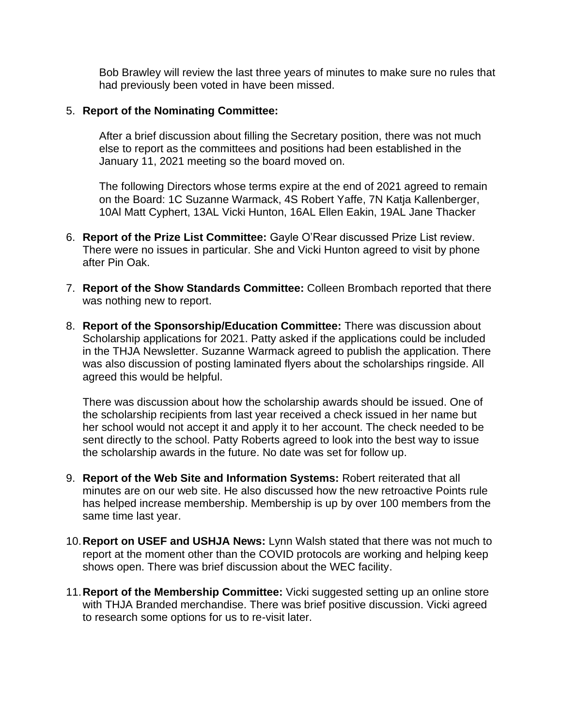Bob Brawley will review the last three years of minutes to make sure no rules that had previously been voted in have been missed.

## 5. **Report of the Nominating Committee:**

After a brief discussion about filling the Secretary position, there was not much else to report as the committees and positions had been established in the January 11, 2021 meeting so the board moved on.

The following Directors whose terms expire at the end of 2021 agreed to remain on the Board: 1C Suzanne Warmack, 4S Robert Yaffe, 7N Katja Kallenberger, 10Al Matt Cyphert, 13AL Vicki Hunton, 16AL Ellen Eakin, 19AL Jane Thacker

- 6. **Report of the Prize List Committee:** Gayle O'Rear discussed Prize List review. There were no issues in particular. She and Vicki Hunton agreed to visit by phone after Pin Oak.
- 7. **Report of the Show Standards Committee:** Colleen Brombach reported that there was nothing new to report.
- 8. **Report of the Sponsorship/Education Committee:** There was discussion about Scholarship applications for 2021. Patty asked if the applications could be included in the THJA Newsletter. Suzanne Warmack agreed to publish the application. There was also discussion of posting laminated flyers about the scholarships ringside. All agreed this would be helpful.

There was discussion about how the scholarship awards should be issued. One of the scholarship recipients from last year received a check issued in her name but her school would not accept it and apply it to her account. The check needed to be sent directly to the school. Patty Roberts agreed to look into the best way to issue the scholarship awards in the future. No date was set for follow up.

- 9. **Report of the Web Site and Information Systems:** Robert reiterated that all minutes are on our web site. He also discussed how the new retroactive Points rule has helped increase membership. Membership is up by over 100 members from the same time last year.
- 10.**Report on USEF and USHJA News:** Lynn Walsh stated that there was not much to report at the moment other than the COVID protocols are working and helping keep shows open. There was brief discussion about the WEC facility.
- 11.**Report of the Membership Committee:** Vicki suggested setting up an online store with THJA Branded merchandise. There was brief positive discussion. Vicki agreed to research some options for us to re-visit later.